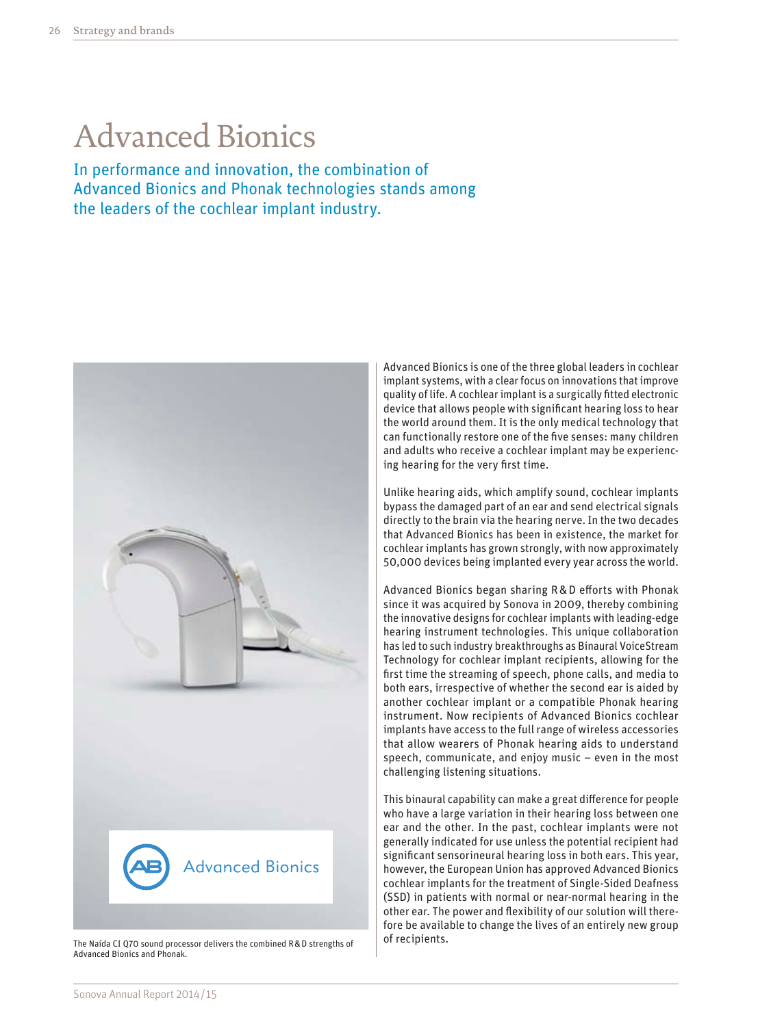# Advanced Bionics

In performance and innovation, the combination of Advanced Bionics and Phonak technologies stands among the leaders of the cochlear implant industry.



The Naída CI Q70 sound processor delivers the combined R&D strengths of Advanced Bionics and Phonak.

Advanced Bionics is one of the three global leaders in cochlear implant systems, with a clear focus on innovations that improve quality of life. A cochlear implant is a surgically fitted electronic device that allows people with significant hearing loss to hear the world around them. It is the only medical technology that can functionally restore one of the five senses: many children and adults who receive a cochlear implant may be experiencing hearing for the very first time.

Unlike hearing aids, which amplify sound, cochlear implants bypass the damaged part of an ear and send electrical signals directly to the brain via the hearing nerve. In the two decades that Advanced Bionics has been in existence, the market for cochlear implants has grown strongly, with now approximately 50,000 devices being implanted every year across the world.

Advanced Bionics began sharing R&D efforts with Phonak since it was acquired by Sonova in 2009, thereby combining the innovative designs for cochlear implants with leading-edge hearing instrument technologies. This unique collaboration has led to such industry breakthroughs as Binaural VoiceStream Technology for cochlear implant recipients, allowing for the first time the streaming of speech, phone calls, and media to both ears, irrespective of whether the second ear is aided by another cochlear implant or a compatible Phonak hearing instrument. Now recipients of Advanced Bionics cochlear implants have access to the full range of wireless accessories that allow wearers of Phonak hearing aids to understand speech, communicate, and enjoy music – even in the most challenging listening situations.

This binaural capability can make a great difference for people who have a large variation in their hearing loss between one ear and the other. In the past, cochlear implants were not generally indicated for use unless the potential recipient had significant sensorineural hearing loss in both ears. This year, however, the European Union has approved Advanced Bionics cochlear implants for the treatment of Single-Sided Deafness (SSD) in patients with normal or near-normal hearing in the other ear. The power and flexibility of our solution will therefore be available to change the lives of an entirely new group of recipients.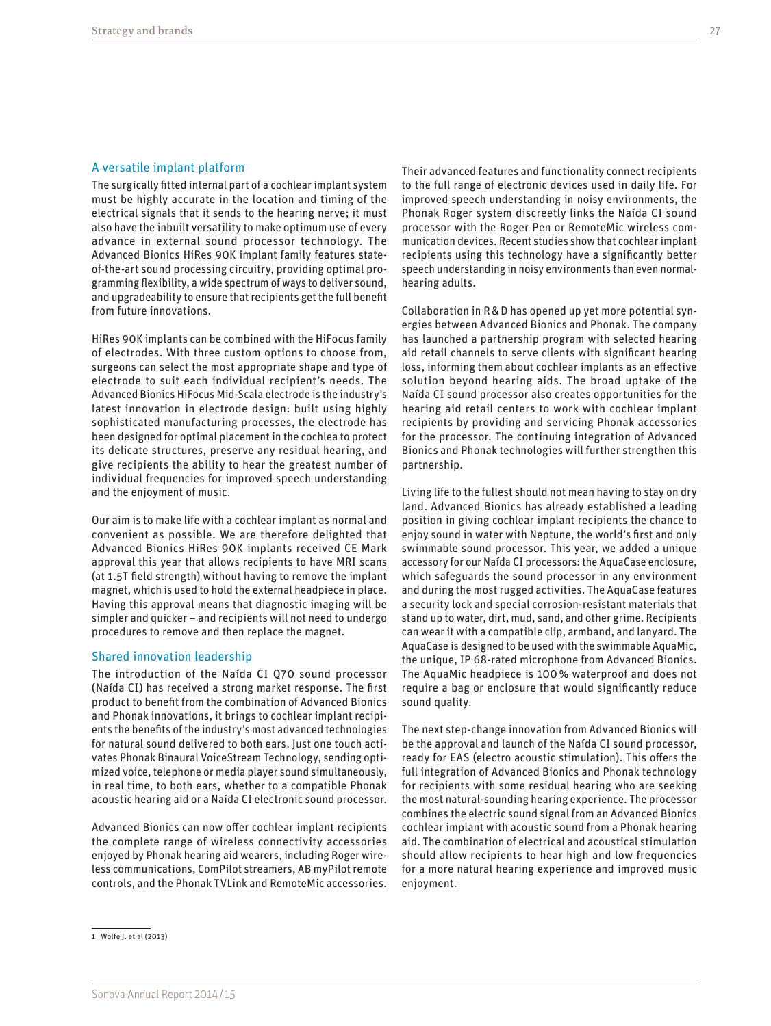#### A versatile implant platform

The surgically fitted internal part of a cochlear implant system must be highly accurate in the location and timing of the electrical signals that it sends to the hearing nerve; it must also have the inbuilt versatility to make optimum use of every advance in external sound processor technology. The Advanced Bionics HiRes 90K implant family features stateof-the-art sound processing circuitry, providing optimal programming flexibility, a wide spectrum of ways to deliver sound, and upgradeability to ensure that recipients get the full benefit from future innovations.

HiRes 90K implants can be combined with the HiFocus family of electrodes. With three custom options to choose from, surgeons can select the most appropriate shape and type of electrode to suit each individual recipient's needs. The Advanced Bionics HiFocus Mid-Scala electrode is the industry's latest innovation in electrode design: built using highly sophisticated manufacturing processes, the electrode has been designed for optimal placement in the cochlea to protect its delicate structures, preserve any residual hearing, and give recipients the ability to hear the greatest number of individual frequencies for improved speech understanding and the enjoyment of music.

Our aim is to make life with a cochlear implant as normal and convenient as possible. We are therefore delighted that Advanced Bionics HiRes 90K implants received CE Mark approval this year that allows recipients to have MRI scans (at 1.5T field strength) without having to remove the implant magnet, which is used to hold the external headpiece in place. Having this approval means that diagnostic imaging will be simpler and quicker – and recipients will not need to undergo procedures to remove and then replace the magnet.

#### Shared innovation leadership

The introduction of the Naída CI Q70 sound processor (Naída CI) has received a strong market response. The first product to benefit from the combination of Advanced Bionics and Phonak innovations, it brings to cochlear implant recipients the benefits of the industry's most advanced technologies for natural sound delivered to both ears. Just one touch activates Phonak Binaural VoiceStream Technology, sending optimized voice, telephone or media player sound simultaneously, in real time, to both ears, whether to a compatible Phonak acoustic hearing aid or a Naída CI electronic sound processor.

Advanced Bionics can now offer cochlear implant recipients the complete range of wireless connectivity accessories enjoyed by Phonak hearing aid wearers, including Roger wireless communications, ComPilot streamers, AB myPilot remote controls, and the Phonak TVLink and RemoteMic accessories. Their advanced features and functionality connect recipients to the full range of electronic devices used in daily life. For improved speech understanding in noisy environments, the Phonak Roger system discreetly links the Naída CI sound processor with the Roger Pen or RemoteMic wireless communication devices. Recent studies show that cochlear implant recipients using this technology have a significantly better speech understanding in noisy environments than even normalhearing adults.

Collaboration in R&D has opened up yet more potential synergies between Advanced Bionics and Phonak. The company has launched a partnership program with selected hearing aid retail channels to serve clients with significant hearing loss, informing them about cochlear implants as an effective solution beyond hearing aids. The broad uptake of the Naída CI sound processor also creates opportunities for the hearing aid retail centers to work with cochlear implant recipients by providing and servicing Phonak accessories for the processor. The continuing integration of Advanced Bionics and Phonak technologies will further strengthen this partnership.

Living life to the fullest should not mean having to stay on dry land. Advanced Bionics has already established a leading position in giving cochlear implant recipients the chance to enjoy sound in water with Neptune, the world's first and only swimmable sound processor. This year, we added a unique accessory for our Naída CI processors: the AquaCase enclosure, which safeguards the sound processor in any environment and during the most rugged activities. The AquaCase features a security lock and special corrosion-resistant materials that stand up to water, dirt, mud, sand, and other grime. Recipients can wear it with a compatible clip, armband, and lanyard. The AquaCase is designed to be used with the swimmable AquaMic, the unique, IP 68-rated microphone from Advanced Bionics. The AquaMic headpiece is 100% waterproof and does not require a bag or enclosure that would significantly reduce sound quality.

The next step-change innovation from Advanced Bionics will be the approval and launch of the Naída CI sound processor, ready for EAS (electro acoustic stimulation). This offers the full integration of Advanced Bionics and Phonak technology for recipients with some residual hearing who are seeking the most natural-sounding hearing experience. The processor combines the electric sound signal from an Advanced Bionics cochlear implant with acoustic sound from a Phonak hearing aid. The combination of electrical and acoustical stimulation should allow recipients to hear high and low frequencies for a more natural hearing experience and improved music enjoyment.

<sup>1</sup> Wolfe J. et al (2013)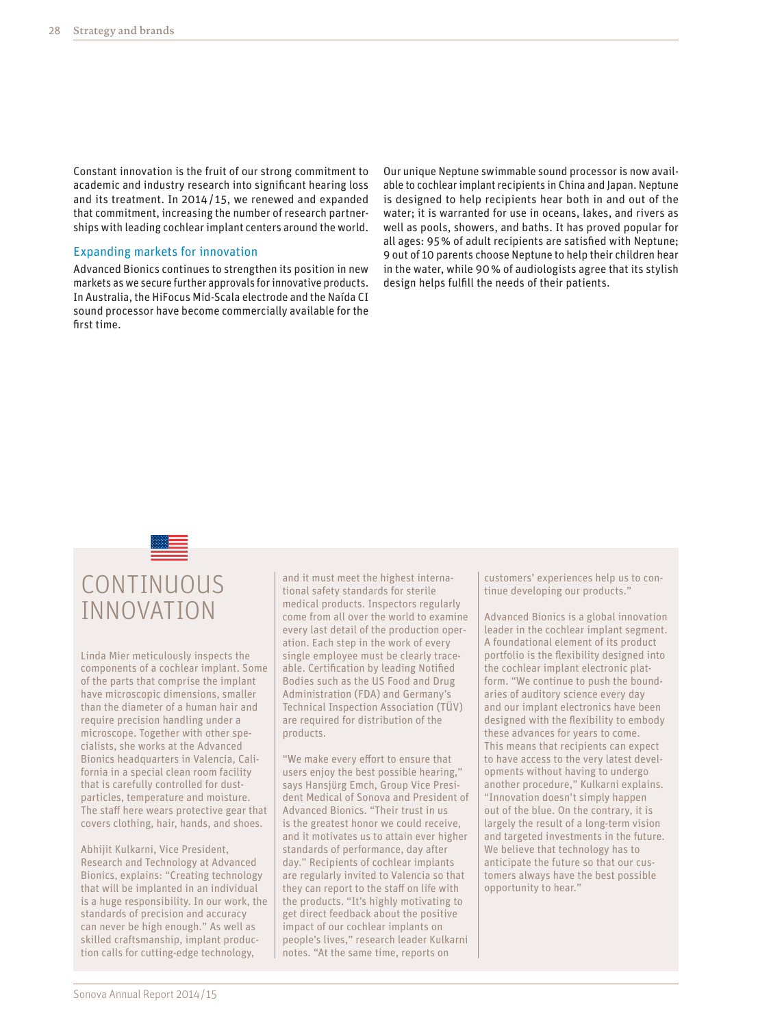Constant innovation is the fruit of our strong commitment to academic and industry research into significant hearing loss and its treatment. In 2014/ 15, we renewed and expanded that commitment, increasing the number of research partnerships with leading cochlear implant centers around the world.

### Expanding markets for innovation

Advanced Bionics continues to strengthen its position in new markets as we secure further approvals for innovative products. In Australia, the HiFocus Mid-Scala electrode and the Naída CI sound processor have become commercially available for the first time.

Our unique Neptune swimmable sound processor is now available to cochlear implant recipients in China and Japan. Neptune is designed to help recipients hear both in and out of the water; it is warranted for use in oceans, lakes, and rivers as well as pools, showers, and baths. It has proved popular for all ages: 95% of adult recipients are satisfied with Neptune; 9 out of 10 parents choose Neptune to help their children hear in the water, while 90% of audiologists agree that its stylish design helps fulfill the needs of their patients.

## CONTINUOUS INNOVATION

Linda Mier meticulously inspects the components of a cochlear implant. Some of the parts that comprise the implant have microscopic dimensions, smaller than the diameter of a human hair and require precision handling under a microscope. Together with other specialists, she works at the Advanced Bionics headquarters in Valencia, California in a special clean room facility that is carefully controlled for dustparticles, temperature and moisture. The staff here wears protective gear that covers clothing, hair, hands, and shoes.

Abhijit Kulkarni, Vice President, Research and Technology at Advanced Bionics, explains: "Creating technology that will be implanted in an individual is a huge responsibility. In our work, the standards of precision and accuracy can never be high enough." As well as skilled craftsmanship, implant production calls for cutting-edge technology,

and it must meet the highest international safety standards for sterile medical products. Inspectors regularly come from all over the world to examine every last detail of the production operation. Each step in the work of every single employee must be clearly traceable. Certification by leading Notified Bodies such as the US Food and Drug Administration (FDA) and Germany's Technical Inspection Association (TÜV) are required for distribution of the products.

"We make every effort to ensure that users enjoy the best possible hearing," says Hansjürg Emch, Group Vice President Medical of Sonova and President of Advanced Bionics. "Their trust in us is the greatest honor we could receive, and it motivates us to attain ever higher standards of performance, day after day." Recipients of cochlear implants are regularly invited to Valencia so that they can report to the staff on life with the products. "It's highly motivating to get direct feedback about the positive impact of our cochlear implants on people's lives," research leader Kulkarni notes. "At the same time, reports on

customers' experiences help us to continue developing our products."

Advanced Bionics is a global innovation leader in the cochlear implant segment. A foundational element of its product portfolio is the flexibility designed into the cochlear implant electronic platform. "We continue to push the boundaries of auditory science every day and our implant electronics have been designed with the flexibility to embody these advances for years to come. This means that recipients can expect to have access to the very latest developments without having to undergo another procedure," Kulkarni explains. "Innovation doesn't simply happen out of the blue. On the contrary, it is largely the result of a long-term vision and targeted investments in the future. We believe that technology has to anticipate the future so that our customers always have the best possible opportunity to hear."